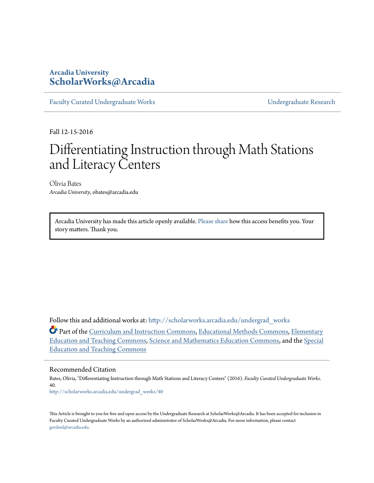# **Arcadia University [ScholarWorks@Arcadia](http://scholarworks.arcadia.edu?utm_source=scholarworks.arcadia.edu%2Fundergrad_works%2F40&utm_medium=PDF&utm_campaign=PDFCoverPages)**

[Faculty Curated Undergraduate Works](http://scholarworks.arcadia.edu/undergrad_works?utm_source=scholarworks.arcadia.edu%2Fundergrad_works%2F40&utm_medium=PDF&utm_campaign=PDFCoverPages) **Example 2018** [Undergraduate Research](http://scholarworks.arcadia.edu/undergrad_scholarship?utm_source=scholarworks.arcadia.edu%2Fundergrad_works%2F40&utm_medium=PDF&utm_campaign=PDFCoverPages)

Fall 12-15-2016

# Differentiating Instruction through Math Stations and Literacy Centers

Olivia Bates *Arcadia University*, obates@arcadia.edu

Arcadia University has made this article openly available. [Please share](https://goo.gl/forms/Ref8L18S9ZgLcqDx1) how this access benefits you. Your story matters. Thank you.

Follow this and additional works at: [http://scholarworks.arcadia.edu/undergrad\\_works](http://scholarworks.arcadia.edu/undergrad_works?utm_source=scholarworks.arcadia.edu%2Fundergrad_works%2F40&utm_medium=PDF&utm_campaign=PDFCoverPages)

Part of the [Curriculum and Instruction Commons](http://network.bepress.com/hgg/discipline/786?utm_source=scholarworks.arcadia.edu%2Fundergrad_works%2F40&utm_medium=PDF&utm_campaign=PDFCoverPages), [Educational Methods Commons,](http://network.bepress.com/hgg/discipline/1227?utm_source=scholarworks.arcadia.edu%2Fundergrad_works%2F40&utm_medium=PDF&utm_campaign=PDFCoverPages) [Elementary](http://network.bepress.com/hgg/discipline/805?utm_source=scholarworks.arcadia.edu%2Fundergrad_works%2F40&utm_medium=PDF&utm_campaign=PDFCoverPages) [Education and Teaching Commons,](http://network.bepress.com/hgg/discipline/805?utm_source=scholarworks.arcadia.edu%2Fundergrad_works%2F40&utm_medium=PDF&utm_campaign=PDFCoverPages) [Science and Mathematics Education Commons](http://network.bepress.com/hgg/discipline/800?utm_source=scholarworks.arcadia.edu%2Fundergrad_works%2F40&utm_medium=PDF&utm_campaign=PDFCoverPages), and the [Special](http://network.bepress.com/hgg/discipline/801?utm_source=scholarworks.arcadia.edu%2Fundergrad_works%2F40&utm_medium=PDF&utm_campaign=PDFCoverPages) [Education and Teaching Commons](http://network.bepress.com/hgg/discipline/801?utm_source=scholarworks.arcadia.edu%2Fundergrad_works%2F40&utm_medium=PDF&utm_campaign=PDFCoverPages)

#### Recommended Citation

Bates, Olivia, "Differentiating Instruction through Math Stations and Literacy Centers" (2016). *Faculty Curated Undergraduate Works*. 40. [http://scholarworks.arcadia.edu/undergrad\\_works/40](http://scholarworks.arcadia.edu/undergrad_works/40?utm_source=scholarworks.arcadia.edu%2Fundergrad_works%2F40&utm_medium=PDF&utm_campaign=PDFCoverPages)

This Article is brought to you for free and open access by the Undergraduate Research at ScholarWorks@Arcadia. It has been accepted for inclusion in Faculty Curated Undergraduate Works by an authorized administrator of ScholarWorks@Arcadia. For more information, please contact [gordonl@arcadia.edu](mailto:gordonl@arcadia.edu).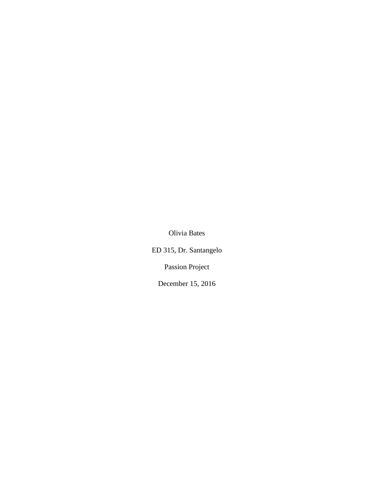Olivia Bates

ED 315, Dr. Santangelo

Passion Project

December 15, 2016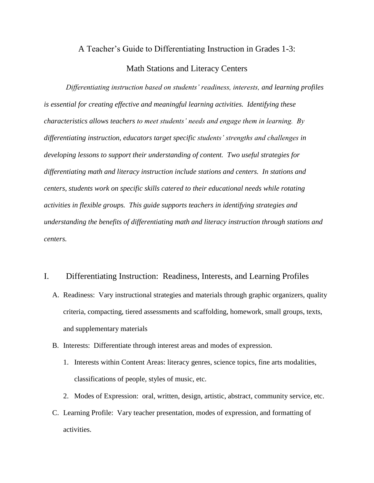#### A Teacher's Guide to Differentiating Instruction in Grades 1-3:

#### Math Stations and Literacy Centers

*Differentiating instruction based on students' readiness, interests, and learning profiles is essential for creating effective and meaningful learning activities. Identifying these characteristics allows teachers to meet students' needs and engage them in learning. By differentiating instruction, educators target specific students' strengths and challenges in developing lessons to support their understanding of content. Two useful strategies for differentiating math and literacy instruction include stations and centers. In stations and centers, students work on specific skills catered to their educational needs while rotating activities in flexible groups. This guide supports teachers in identifying strategies and understanding the benefits of differentiating math and literacy instruction through stations and centers.* 

## I. Differentiating Instruction: Readiness, Interests, and Learning Profiles

- A. Readiness: Vary instructional strategies and materials through graphic organizers, quality criteria, compacting, tiered assessments and scaffolding, homework, small groups, texts, and supplementary materials
- B. Interests: Differentiate through interest areas and modes of expression.
	- 1. Interests within Content Areas: literacy genres, science topics, fine arts modalities, classifications of people, styles of music, etc.
	- 2. Modes of Expression: oral, written, design, artistic, abstract, community service, etc.
- C. Learning Profile: Vary teacher presentation, modes of expression, and formatting of activities.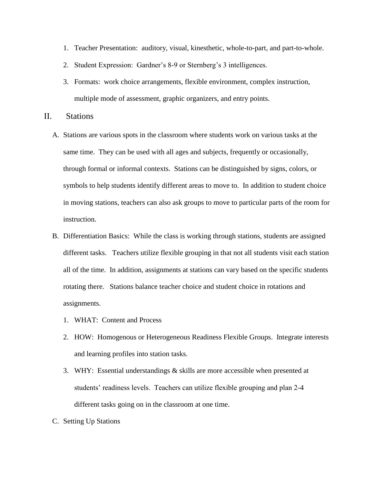- 1. Teacher Presentation: auditory, visual, kinesthetic, whole-to-part, and part-to-whole.
- 2. Student Expression: Gardner's 8-9 or Sternberg's 3 intelligences.
- 3. Formats: work choice arrangements, flexible environment, complex instruction, multiple mode of assessment, graphic organizers, and entry points.

II. Stations

- A. Stations are various spots in the classroom where students work on various tasks at the same time. They can be used with all ages and subjects, frequently or occasionally, through formal or informal contexts. Stations can be distinguished by signs, colors, or symbols to help students identify different areas to move to. In addition to student choice in moving stations, teachers can also ask groups to move to particular parts of the room for instruction.
- B. Differentiation Basics: While the class is working through stations, students are assigned different tasks. Teachers utilize flexible grouping in that not all students visit each station all of the time. In addition, assignments at stations can vary based on the specific students rotating there. Stations balance teacher choice and student choice in rotations and assignments.
	- 1. WHAT: Content and Process
	- 2. HOW: Homogenous or Heterogeneous Readiness Flexible Groups. Integrate interests and learning profiles into station tasks.
	- 3. WHY: Essential understandings & skills are more accessible when presented at students' readiness levels. Teachers can utilize flexible grouping and plan 2-4 different tasks going on in the classroom at one time.
- C. Setting Up Stations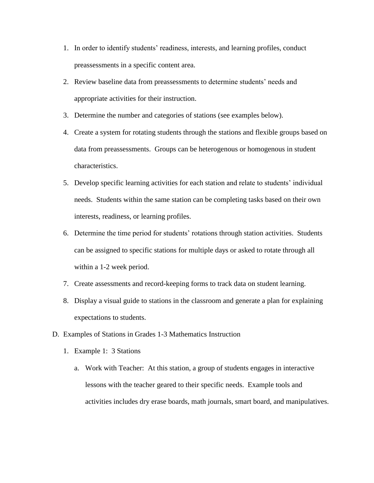- 1. In order to identify students' readiness, interests, and learning profiles, conduct preassessments in a specific content area.
- 2. Review baseline data from preassessments to determine students' needs and appropriate activities for their instruction.
- 3. Determine the number and categories of stations (see examples below).
- 4. Create a system for rotating students through the stations and flexible groups based on data from preassessments. Groups can be heterogenous or homogenous in student characteristics.
- 5. Develop specific learning activities for each station and relate to students' individual needs. Students within the same station can be completing tasks based on their own interests, readiness, or learning profiles.
- 6. Determine the time period for students' rotations through station activities. Students can be assigned to specific stations for multiple days or asked to rotate through all within a 1-2 week period.
- 7. Create assessments and record-keeping forms to track data on student learning.
- 8. Display a visual guide to stations in the classroom and generate a plan for explaining expectations to students.
- D. Examples of Stations in Grades 1-3 Mathematics Instruction
	- 1. Example 1: 3 Stations
		- a. Work with Teacher: At this station, a group of students engages in interactive lessons with the teacher geared to their specific needs. Example tools and activities includes dry erase boards, math journals, smart board, and manipulatives.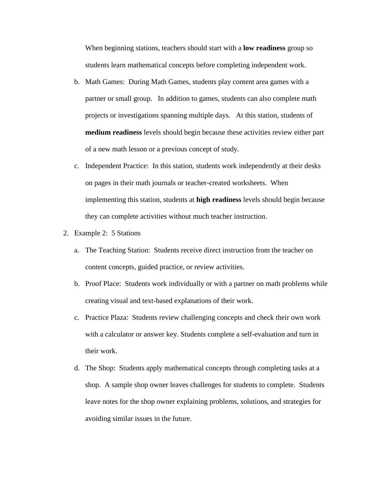When beginning stations, teachers should start with a **low readiness** group so students learn mathematical concepts before completing independent work.

- b. Math Games: During Math Games, students play content area games with a partner or small group. In addition to games, students can also complete math projects or investigations spanning multiple days. At this station, students of **medium readiness** levels should begin because these activities review either part of a new math lesson or a previous concept of study.
- c. Independent Practice: In this station, students work independently at their desks on pages in their math journals or teacher-created worksheets. When implementing this station, students at **high readiness** levels should begin because they can complete activities without much teacher instruction.
- 2. Example 2: 5 Stations
	- a. The Teaching Station: Students receive direct instruction from the teacher on content concepts, guided practice, or review activities.
	- b. Proof Place: Students work individually or with a partner on math problems while creating visual and text-based explanations of their work.
	- c. Practice Plaza: Students review challenging concepts and check their own work with a calculator or answer key. Students complete a self-evaluation and turn in their work.
	- d. The Shop: Students apply mathematical concepts through completing tasks at a shop. A sample shop owner leaves challenges for students to complete. Students leave notes for the shop owner explaining problems, solutions, and strategies for avoiding similar issues in the future.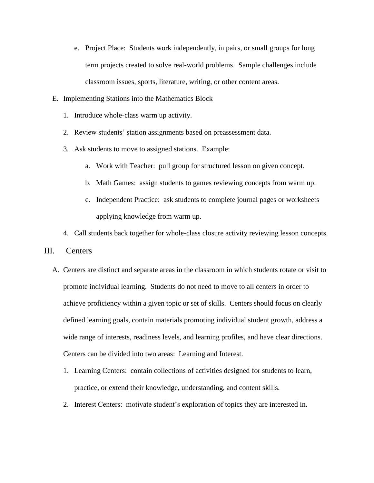- e. Project Place: Students work independently, in pairs, or small groups for long term projects created to solve real-world problems. Sample challenges include classroom issues, sports, literature, writing, or other content areas.
- E. Implementing Stations into the Mathematics Block
	- 1. Introduce whole-class warm up activity.
	- 2. Review students' station assignments based on preassessment data.
	- 3. Ask students to move to assigned stations. Example:
		- a. Work with Teacher: pull group for structured lesson on given concept.
		- b. Math Games: assign students to games reviewing concepts from warm up.
		- c. Independent Practice: ask students to complete journal pages or worksheets applying knowledge from warm up.
	- 4. Call students back together for whole-class closure activity reviewing lesson concepts.
- III. Centers
	- A. Centers are distinct and separate areas in the classroom in which students rotate or visit to promote individual learning. Students do not need to move to all centers in order to achieve proficiency within a given topic or set of skills. Centers should focus on clearly defined learning goals, contain materials promoting individual student growth, address a wide range of interests, readiness levels, and learning profiles, and have clear directions. Centers can be divided into two areas: Learning and Interest.
		- 1. Learning Centers: contain collections of activities designed for students to learn, practice, or extend their knowledge, understanding, and content skills.
		- 2. Interest Centers: motivate student's exploration of topics they are interested in.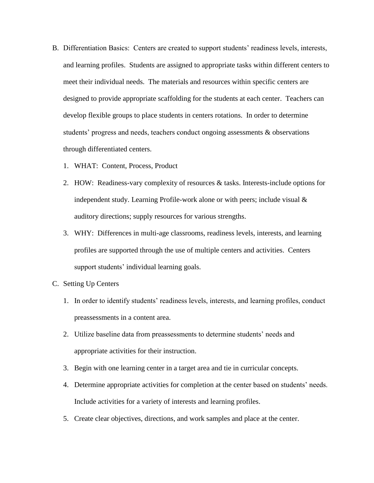- B. Differentiation Basics: Centers are created to support students' readiness levels, interests, and learning profiles. Students are assigned to appropriate tasks within different centers to meet their individual needs. The materials and resources within specific centers are designed to provide appropriate scaffolding for the students at each center. Teachers can develop flexible groups to place students in centers rotations. In order to determine students' progress and needs, teachers conduct ongoing assessments & observations through differentiated centers.
	- 1. WHAT: Content, Process, Product
	- 2. HOW: Readiness-vary complexity of resources & tasks. Interests-include options for independent study. Learning Profile-work alone or with peers; include visual  $\&$ auditory directions; supply resources for various strengths.
	- 3. WHY: Differences in multi-age classrooms, readiness levels, interests, and learning profiles are supported through the use of multiple centers and activities. Centers support students' individual learning goals.
- C. Setting Up Centers
	- 1. In order to identify students' readiness levels, interests, and learning profiles, conduct preassessments in a content area.
	- 2. Utilize baseline data from preassessments to determine students' needs and appropriate activities for their instruction.
	- 3. Begin with one learning center in a target area and tie in curricular concepts.
	- 4. Determine appropriate activities for completion at the center based on students' needs. Include activities for a variety of interests and learning profiles.
	- 5. Create clear objectives, directions, and work samples and place at the center.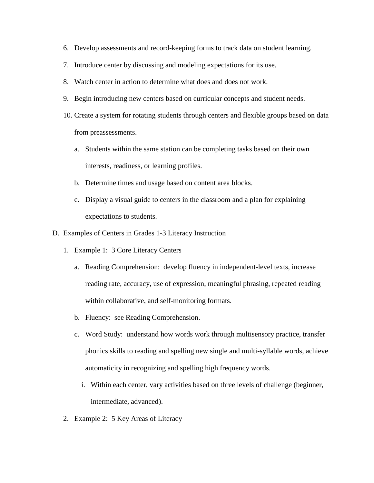- 6. Develop assessments and record-keeping forms to track data on student learning.
- 7. Introduce center by discussing and modeling expectations for its use.
- 8. Watch center in action to determine what does and does not work.
- 9. Begin introducing new centers based on curricular concepts and student needs.
- 10. Create a system for rotating students through centers and flexible groups based on data from preassessments.
	- a. Students within the same station can be completing tasks based on their own interests, readiness, or learning profiles.
	- b. Determine times and usage based on content area blocks.
	- c. Display a visual guide to centers in the classroom and a plan for explaining expectations to students.
- D. Examples of Centers in Grades 1-3 Literacy Instruction
	- 1. Example 1: 3 Core Literacy Centers
		- a. Reading Comprehension: develop fluency in independent-level texts, increase reading rate, accuracy, use of expression, meaningful phrasing, repeated reading within collaborative, and self-monitoring formats.
		- b. Fluency: see Reading Comprehension.
		- c. Word Study: understand how words work through multisensory practice, transfer phonics skills to reading and spelling new single and multi-syllable words, achieve automaticity in recognizing and spelling high frequency words.
			- i. Within each center, vary activities based on three levels of challenge (beginner, intermediate, advanced).
	- 2. Example 2: 5 Key Areas of Literacy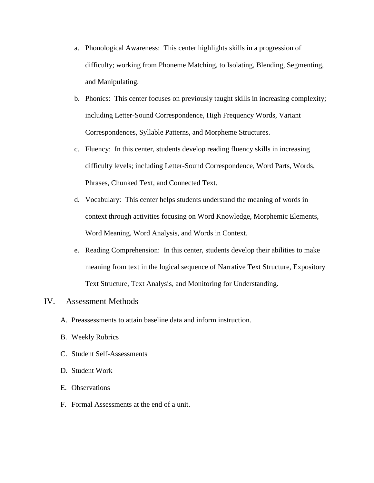- a. Phonological Awareness: This center highlights skills in a progression of difficulty; working from Phoneme Matching, to Isolating, Blending, Segmenting, and Manipulating.
- b. Phonics: This center focuses on previously taught skills in increasing complexity; including Letter-Sound Correspondence, High Frequency Words, Variant Correspondences, Syllable Patterns, and Morpheme Structures.
- c. Fluency: In this center, students develop reading fluency skills in increasing difficulty levels; including Letter-Sound Correspondence, Word Parts, Words, Phrases, Chunked Text, and Connected Text.
- d. Vocabulary: This center helps students understand the meaning of words in context through activities focusing on Word Knowledge, Morphemic Elements, Word Meaning, Word Analysis, and Words in Context.
- e. Reading Comprehension: In this center, students develop their abilities to make meaning from text in the logical sequence of Narrative Text Structure, Expository Text Structure, Text Analysis, and Monitoring for Understanding.

### IV. Assessment Methods

- A. Preassessments to attain baseline data and inform instruction.
- B. Weekly Rubrics
- C. Student Self-Assessments
- D. Student Work
- E. Observations
- F. Formal Assessments at the end of a unit.